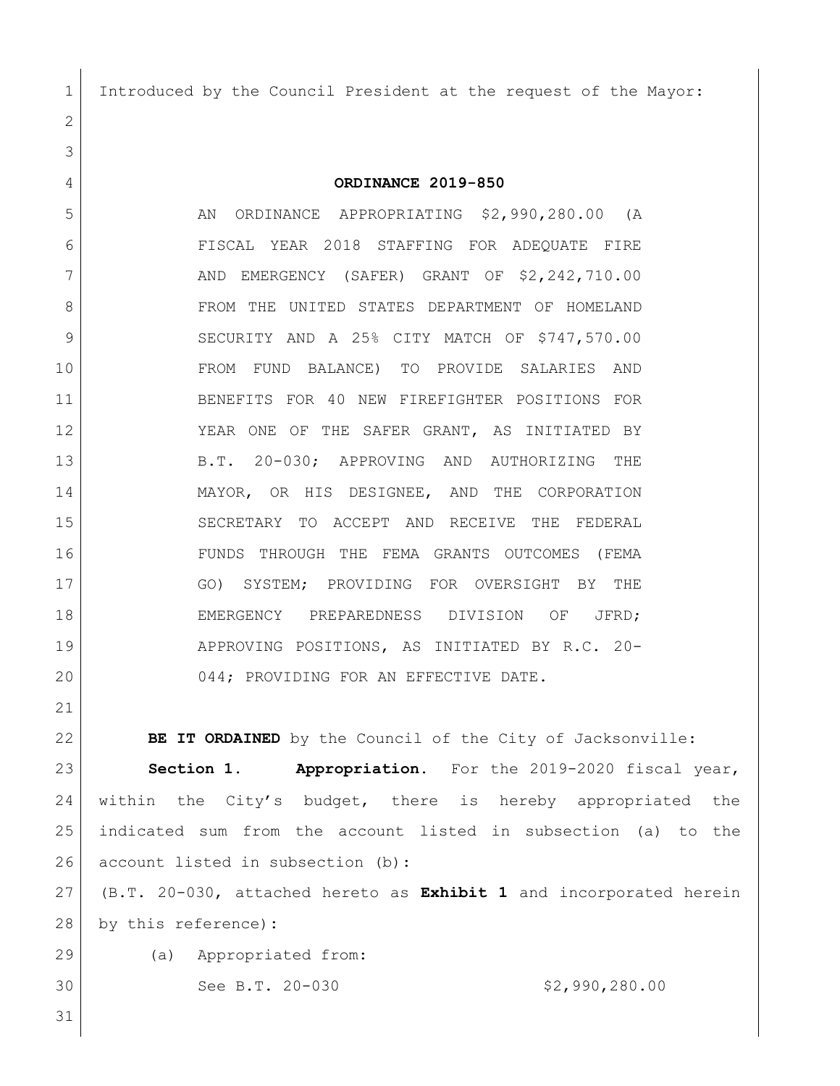Introduced by the Council President at the request of the Mayor:

 **ORDINANCE 2019-850** 5 AN ORDINANCE APPROPRIATING \$2,990,280.00 (A FISCAL YEAR 2018 STAFFING FOR ADEQUATE FIRE 7 | AND EMERGENCY (SAFER) GRANT OF \$2,242,710.00 8 FROM THE UNITED STATES DEPARTMENT OF HOMELAND 9 SECURITY AND A 25% CITY MATCH OF \$747,570.00 FROM FUND BALANCE) TO PROVIDE SALARIES AND BENEFITS FOR 40 NEW FIREFIGHTER POSITIONS FOR 12 YEAR ONE OF THE SAFER GRANT, AS INITIATED BY B.T. 20-030; APPROVING AND AUTHORIZING THE MAYOR, OR HIS DESIGNEE, AND THE CORPORATION SECRETARY TO ACCEPT AND RECEIVE THE FEDERAL FUNDS THROUGH THE FEMA GRANTS OUTCOMES (FEMA GO) SYSTEM; PROVIDING FOR OVERSIGHT BY THE 18 EMERGENCY PREPAREDNESS DIVISION OF JFRD; APPROVING POSITIONS, AS INITIATED BY R.C. 20- 20 044; PROVIDING FOR AN EFFECTIVE DATE.

**BE IT ORDAINED** by the Council of the City of Jacksonville: **Section 1. Appropriation.** For the 2019-2020 fiscal year, within the City's budget, there is hereby appropriated the indicated sum from the account listed in subsection (a) to the 26 account listed in subsection (b):

 (B.T. 20-030, attached hereto as **Exhibit 1** and incorporated herein by this reference)**:**

(a) Appropriated from:

30 See B.T. 20-030 \$2,990,280.00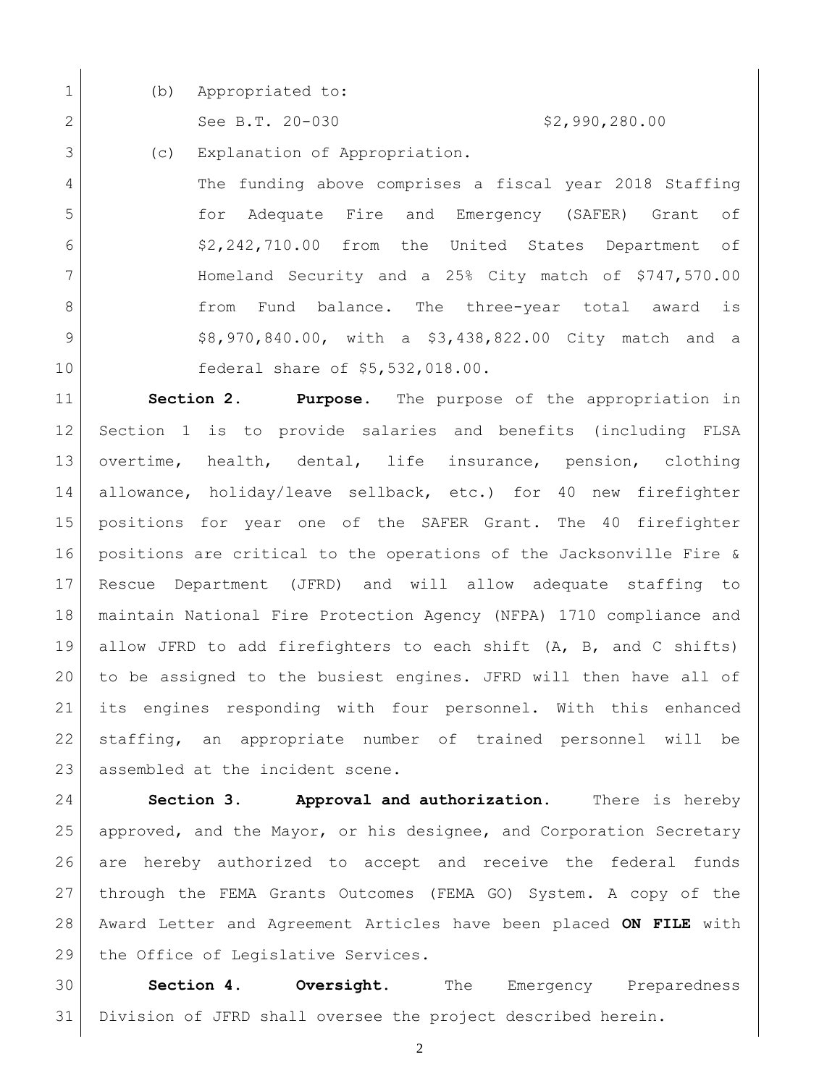1 (b) Appropriated to:

2 See B.T. 20-030 \$2,990,280.00

(c) Explanation of Appropriation.

 The funding above comprises a fiscal year 2018 Staffing for Adequate Fire and Emergency (SAFER) Grant of \$2,242,710.00 from the United States Department of Homeland Security and a 25% City match of \$747,570.00 **from Fund balance.** The three-year total award is 9 | \$8,970,840.00, with a \$3,438,822.00 City match and a federal share of \$5,532,018.00.

 **Section 2. Purpose**. The purpose of the appropriation in Section 1 is to provide salaries and benefits (including FLSA overtime, health, dental, life insurance, pension, clothing allowance, holiday/leave sellback, etc.) for 40 new firefighter positions for year one of the SAFER Grant. The 40 firefighter positions are critical to the operations of the Jacksonville Fire & Rescue Department (JFRD) and will allow adequate staffing to maintain National Fire Protection Agency (NFPA) 1710 compliance and allow JFRD to add firefighters to each shift (A, B, and C shifts) to be assigned to the busiest engines. JFRD will then have all of its engines responding with four personnel. With this enhanced staffing, an appropriate number of trained personnel will be 23 assembled at the incident scene.

 **Section 3. Approval and authorization.** There is hereby approved, and the Mayor, or his designee, and Corporation Secretary are hereby authorized to accept and receive the federal funds through the FEMA Grants Outcomes (FEMA GO) System. A copy of the Award Letter and Agreement Articles have been placed **ON FILE** with 29 the Office of Legislative Services.

 **Section 4. Oversight.** The Emergency Preparedness Division of JFRD shall oversee the project described herein.